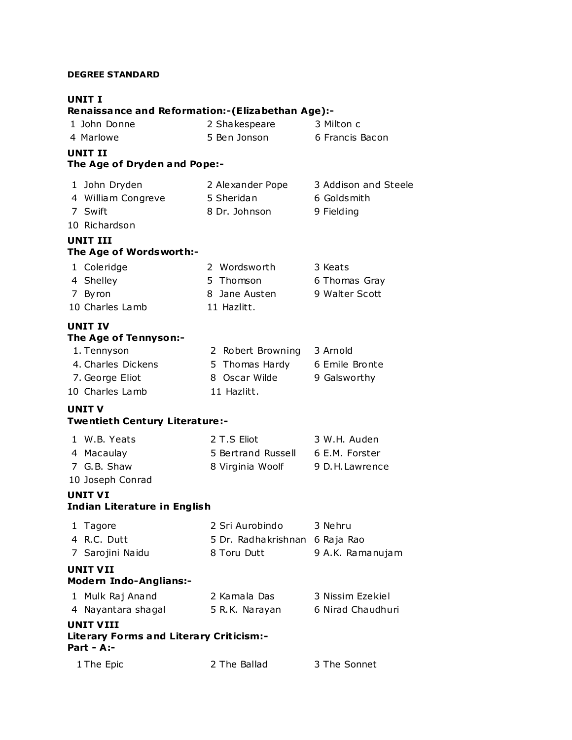#### **DEGREE STANDARD**

## **UNIT I**

## **Renaissance and Reformation:-(Elizabethan Age):-**

| 1 John Donne | 2 Shakespeare | 3 Milton c      |
|--------------|---------------|-----------------|
| 4 Marlowe    | 5 Ben Jonson  | 6 Francis Bacon |

## **UNIT II**

## **The Age of Dryden and Pope:-**

| 1 John Dryden      | 2 Alexander Pope | 3 Addison and Steele |
|--------------------|------------------|----------------------|
| 4 William Congreve | 5 Sheridan       | 6 Goldsmith          |
| 7 Swift            | 8 Dr. Johnson    | 9 Fielding           |
| 10 Dichardcon      |                  |                      |

#### 10 Richardson

#### **UNIT III The Age of Wordsworth:-**

| 1 Coleridge     | 2 Wordsworth  | 3 Keats        |
|-----------------|---------------|----------------|
| 4 Shelley       | 5 Thomson     | 6 Thomas Gray  |
| 7 Byron         | 8 Jane Austen | 9 Walter Scott |
| 10 Charles Lamb | 11 Hazlitt.   |                |

#### **UNIT IV The Age of Tennyson:-**

| 1. Tennyson        | 2 Robert Browning | 3 Arnold       |
|--------------------|-------------------|----------------|
| 4. Charles Dickens | 5 Thomas Hardy    | 6 Emile Bronte |
| 7. George Eliot    | 8 Oscar Wilde     | 9 Galsworthy   |
| 10 Charles Lamb    | 11 Hazlitt.       |                |

### **UNIT V**

### **Twentieth Century Literature :-**

| 1 W.B. Yeats | 2 T.S Eliot        | 3 W.H. Auden    |
|--------------|--------------------|-----------------|
| 4 Macaulay   | 5 Bertrand Russell | 6 E.M. Forster  |
| 7 G.B. Shaw  | 8 Virginia Woolf   | 9 D.H. Lawrence |
|              |                    |                 |

## 10 Joseph Conrad

#### **UNIT VI Indian Literature in English**

| 1 Tagore    | 2 Sri Aurobindo                | 3 Nehru |
|-------------|--------------------------------|---------|
| 4 R.C. Dutt | 5 Dr. Radhakrishnan 6 Raja Rao |         |
|             |                                |         |

# 7 Sarojini Naidu 8 Toru Dutt 9 A.K. Ramanujam **UNIT VII Modern Indo-Anglians:-** 1 Mulk Raj Anand 2 Kamala Das 3 Nissim Ezekiel 4 Nayantara shagal 5 R.K. Narayan 6 Nirad Chaudhuri **UNIT VIII**

# **Literary Forms and Literary Criticism:- Part - A:-**

| 1 The Epic | 2 The Ballad | 3 The Sonnet |
|------------|--------------|--------------|
|            |              |              |